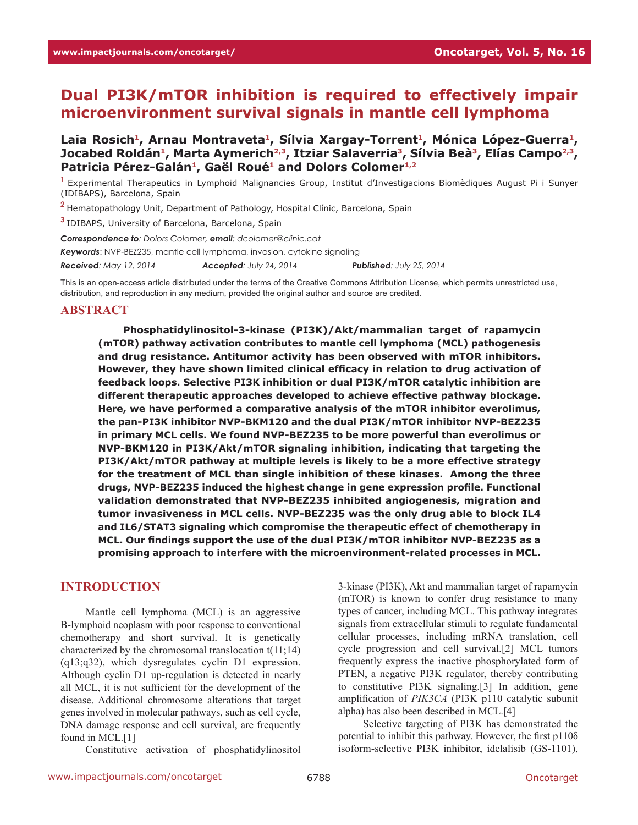# **Dual PI3K/mTOR inhibition is required to effectively impair microenvironment survival signals in mantle cell lymphoma**

Laia Rosich<sup>1</sup>, Arnau Montraveta<sup>1</sup>, Sílvia Xargay-Torrent<sup>1</sup>, Mónica López-Guerra<sup>1</sup>, Jocabed Roldán<sup>1</sup>, Marta Aymerich<sup>2,3</sup>, Itziar Salaverria<sup>3</sup>, Sílvia Beà<sup>3</sup>, Elías Campo<sup>2,3</sup>, Patricia Pérez-Galán<sup>1</sup>, Gaël Roué<sup>1</sup> and Dolors Colomer<sup>1,2</sup>

**<sup>1</sup>**Experimental Therapeutics in Lymphoid Malignancies Group, Institut d'Investigacions Biomèdiques August Pi i Sunyer (IDIBAPS), Barcelona, Spain

**<sup>2</sup>**Hematopathology Unit, Department of Pathology, Hospital Clínic, Barcelona, Spain

**<sup>3</sup>**IDIBAPS, University of Barcelona, Barcelona, Spain

*Correspondence to: Dolors Colomer, email: dcolomer@clinic.cat*

*Keywords*: NVP-BEZ235, mantle cell lymphoma, invasion, cytokine signaling

*Received: May 12, 2014 Accepted: July 24, 2014 Published: July 25, 2014*

This is an open-access article distributed under the terms of the Creative Commons Attribution License, which permits unrestricted use, distribution, and reproduction in any medium, provided the original author and source are credited.

#### **ABSTRACT**

**Phosphatidylinositol-3-kinase (PI3K)/Akt/mammalian target of rapamycin (mTOR) pathway activation contributes to mantle cell lymphoma (MCL) pathogenesis and drug resistance. Antitumor activity has been observed with mTOR inhibitors. However, they have shown limited clinical efficacy in relation to drug activation of feedback loops. Selective PI3K inhibition or dual PI3K/mTOR catalytic inhibition are different therapeutic approaches developed to achieve effective pathway blockage. Here, we have performed a comparative analysis of the mTOR inhibitor everolimus, the pan-PI3K inhibitor NVP-BKM120 and the dual PI3K/mTOR inhibitor NVP-BEZ235 in primary MCL cells. We found NVP-BEZ235 to be more powerful than everolimus or NVP-BKM120 in PI3K/Akt/mTOR signaling inhibition, indicating that targeting the PI3K/Akt/mTOR pathway at multiple levels is likely to be a more effective strategy for the treatment of MCL than single inhibition of these kinases. Among the three drugs, NVP-BEZ235 induced the highest change in gene expression profile. Functional validation demonstrated that NVP-BEZ235 inhibited angiogenesis, migration and tumor invasiveness in MCL cells. NVP-BEZ235 was the only drug able to block IL4 and IL6/STAT3 signaling which compromise the therapeutic effect of chemotherapy in MCL. Our findings support the use of the dual PI3K/mTOR inhibitor NVP-BEZ235 as a promising approach to interfere with the microenvironment-related processes in MCL.**

#### **INTRODUCTION**

Mantle cell lymphoma (MCL) is an aggressive B-lymphoid neoplasm with poor response to conventional chemotherapy and short survival. It is genetically characterized by the chromosomal translocation t(11;14) (q13;q32), which dysregulates cyclin D1 expression. Although cyclin D1 up-regulation is detected in nearly all MCL, it is not sufficient for the development of the disease. Additional chromosome alterations that target genes involved in molecular pathways, such as cell cycle, DNA damage response and cell survival, are frequently found in MCL.[1]

Constitutive activation of phosphatidylinositol

3-kinase (PI3K), Akt and mammalian target of rapamycin (mTOR) is known to confer drug resistance to many types of cancer, including MCL. This pathway integrates signals from extracellular stimuli to regulate fundamental cellular processes, including mRNA translation, cell cycle progression and cell survival.[2] MCL tumors frequently express the inactive phosphorylated form of PTEN, a negative PI3K regulator, thereby contributing to constitutive PI3K signaling.[3] In addition, gene amplification of *PIK3CA* (PI3K p110 catalytic subunit alpha) has also been described in MCL.[4]

Selective targeting of PI3K has demonstrated the potential to inhibit this pathway. However, the first p110δ isoform-selective PI3K inhibitor, idelalisib (GS-1101),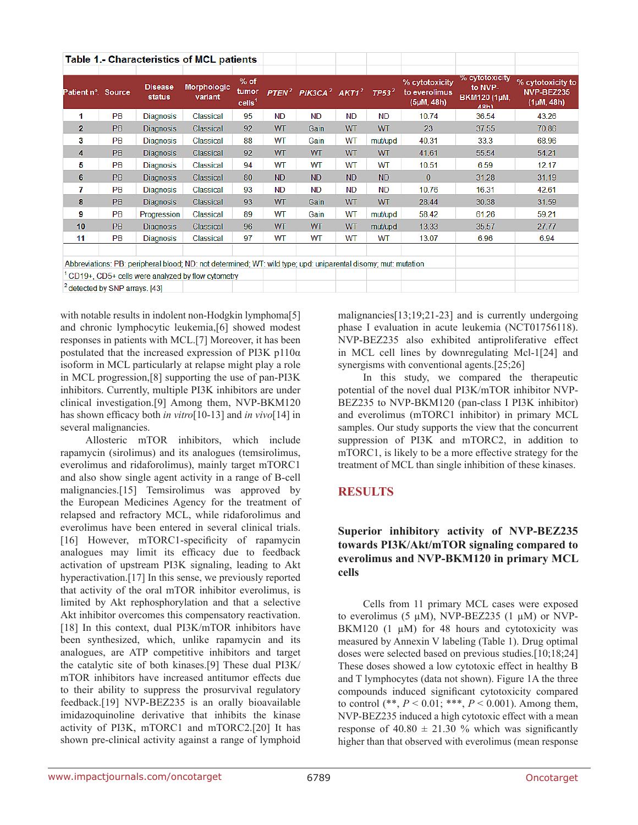| <b>Table 1.- Characteristics of MCL patients</b>                                                               |           |                          |                               |                                     |           |                                                                           |           |           |                                               |                                                                 |                                               |
|----------------------------------------------------------------------------------------------------------------|-----------|--------------------------|-------------------------------|-------------------------------------|-----------|---------------------------------------------------------------------------|-----------|-----------|-----------------------------------------------|-----------------------------------------------------------------|-----------------------------------------------|
| Patient nº. Source                                                                                             |           | <b>Disease</b><br>status | <b>Morphologic</b><br>variant | $%$ of<br>tumor<br>$\text{cells}^1$ |           | PTEN <sup>2</sup> PIK3CA <sup>2</sup> AKT1 <sup>2</sup> TP53 <sup>2</sup> |           |           | % cytotoxicity<br>to everolimus<br>(5µM, 48h) | % cytotoxicity<br>to NVP-<br><b>BKM120 (1µM,</b><br><b>48h)</b> | % cytotoxicity to<br>NVP-BEZ235<br>(1µM, 48h) |
| 1                                                                                                              | <b>PB</b> | <b>Diagnosis</b>         | Classical                     | 95                                  | <b>ND</b> | <b>ND</b>                                                                 | <b>ND</b> | <b>ND</b> | 10.74                                         | 36.54                                                           | 43.26                                         |
| $\mathbf{z}$                                                                                                   | PB        | <b>Diagnosis</b>         | Classical                     | 92                                  | <b>WT</b> | Gain                                                                      | WT        | <b>WT</b> | 23                                            | 37.55                                                           | 70.86                                         |
| 3                                                                                                              | PB.       | <b>Diagnosis</b>         | Classical                     | 88                                  | WT        | Gain                                                                      | WT        | mut/upd   | 40.31                                         | 33.3                                                            | 68.96                                         |
| 4                                                                                                              | PB        | <b>Diagnosis</b>         | Classical                     | 92                                  | <b>WT</b> | <b>WT</b>                                                                 | <b>WT</b> | <b>WT</b> | 41.61                                         | 55.54                                                           | 54.21                                         |
| 5                                                                                                              | <b>PB</b> | <b>Diagnosis</b>         | Classical                     | 94                                  | WT        | WT                                                                        | WT        | WТ        | 10.51                                         | 6.59                                                            | 12.17                                         |
| 6                                                                                                              | PB        | <b>Diagnosis</b>         | Classical                     | 80                                  | <b>ND</b> | <b>ND</b>                                                                 | <b>ND</b> | <b>ND</b> | $\mathbf{0}$                                  | 31.28                                                           | 31.19                                         |
| 7                                                                                                              | <b>PB</b> | Diagnosis                | Classical                     | 93                                  | <b>ND</b> | <b>ND</b>                                                                 | <b>ND</b> | <b>ND</b> | 10.76                                         | 16.31                                                           | 42.61                                         |
| 8                                                                                                              | PB        | <b>Diagnosis</b>         | <b>Classical</b>              | 93                                  | WT        | Gain                                                                      | WT        | WT        | 28.44                                         | 30.38                                                           | 31.59                                         |
| 9                                                                                                              | <b>PB</b> | Progression              | Classical                     | 89                                  | WT        | Gain                                                                      | WT        | mut/upd   | 58.42                                         | 61.26                                                           | 59.21                                         |
| 10                                                                                                             | <b>PB</b> | <b>Diagnosis</b>         | Classical                     | 96                                  | <b>WT</b> | <b>WT</b>                                                                 | <b>WT</b> | mut/upd   | 13.33                                         | 35.57                                                           | 27.77                                         |
| 11                                                                                                             | <b>PB</b> | <b>Diagnosis</b>         | Classical                     | 97                                  | WT        | <b>WT</b>                                                                 | <b>WT</b> | <b>WT</b> | 13.07                                         | 6.96                                                            | 6.94                                          |
|                                                                                                                |           |                          |                               |                                     |           |                                                                           |           |           |                                               |                                                                 |                                               |
| Abbreviations: PB: peripheral blood; ND: not determined; WT: wild type; upd: uniparental disomy; mut: mutation |           |                          |                               |                                     |           |                                                                           |           |           |                                               |                                                                 |                                               |
| <sup>1</sup> CD19+, CD5+ cells were analyzed by flow cytometry                                                 |           |                          |                               |                                     |           |                                                                           |           |           |                                               |                                                                 |                                               |
| <sup>2</sup> detected by SNP arrays. [43]                                                                      |           |                          |                               |                                     |           |                                                                           |           |           |                                               |                                                                 |                                               |

with notable results in indolent non-Hodgkin lymphoma<sup>[5]</sup> and chronic lymphocytic leukemia,[6] showed modest responses in patients with MCL.[7] Moreover, it has been postulated that the increased expression of PI3K p110α isoform in MCL particularly at relapse might play a role in MCL progression,[8] supporting the use of pan-PI3K inhibitors. Currently, multiple PI3K inhibitors are under clinical investigation.[9] Among them, NVP-BKM120 has shown efficacy both *in vitro*[10-13] and *in vivo*[14] in several malignancies.

Allosteric mTOR inhibitors, which include rapamycin (sirolimus) and its analogues (temsirolimus, everolimus and ridaforolimus), mainly target mTORC1 and also show single agent activity in a range of B-cell malignancies.[15] Temsirolimus was approved by the European Medicines Agency for the treatment of relapsed and refractory MCL, while ridaforolimus and everolimus have been entered in several clinical trials. [16] However, mTORC1-specificity of rapamycin analogues may limit its efficacy due to feedback activation of upstream PI3K signaling, leading to Akt hyperactivation.[17] In this sense, we previously reported that activity of the oral mTOR inhibitor everolimus, is limited by Akt rephosphorylation and that a selective Akt inhibitor overcomes this compensatory reactivation. [18] In this context, dual PI3K/mTOR inhibitors have been synthesized, which, unlike rapamycin and its analogues, are ATP competitive inhibitors and target the catalytic site of both kinases.[9] These dual PI3K/ mTOR inhibitors have increased antitumor effects due to their ability to suppress the prosurvival regulatory feedback.[19] NVP-BEZ235 is an orally bioavailable imidazoquinoline derivative that inhibits the kinase activity of PI3K, mTORC1 and mTORC2.[20] It has shown pre-clinical activity against a range of lymphoid

malignancies[13;19;21-23] and is currently undergoing phase I evaluation in acute leukemia (NCT01756118). NVP-BEZ235 also exhibited antiproliferative effect in MCL cell lines by downregulating Mcl-1[24] and synergisms with conventional agents.<sup>[25;26]</sup>

In this study, we compared the therapeutic potential of the novel dual PI3K/mTOR inhibitor NVP-BEZ235 to NVP-BKM120 (pan-class I PI3K inhibitor) and everolimus (mTORC1 inhibitor) in primary MCL samples. Our study supports the view that the concurrent suppression of PI3K and mTORC2, in addition to mTORC1, is likely to be a more effective strategy for the treatment of MCL than single inhibition of these kinases.

# **RESULTS**

# **Superior inhibitory activity of NVP-BEZ235 towards PI3K/Akt/mTOR signaling compared to everolimus and NVP-BKM120 in primary MCL cells**

Cells from 11 primary MCL cases were exposed to everolimus (5  $\mu$ M), NVP-BEZ235 (1  $\mu$ M) or NVP-BKM120 (1  $\mu$ M) for 48 hours and cytotoxicity was measured by Annexin V labeling (Table 1). Drug optimal doses were selected based on previous studies.[10;18;24] These doses showed a low cytotoxic effect in healthy B and T lymphocytes (data not shown). Figure 1A the three compounds induced significant cytotoxicity compared to control (\*\*, *P* < 0.01; \*\*\*, *P* < 0.001). Among them, NVP-BEZ235 induced a high cytotoxic effect with a mean response of  $40.80 \pm 21.30$  % which was significantly higher than that observed with everolimus (mean response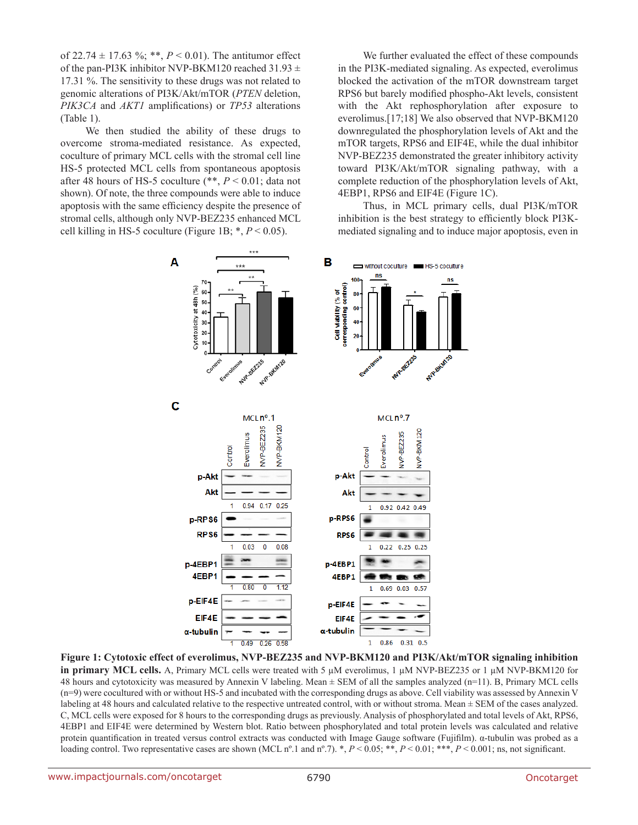of 22.74  $\pm$  17.63 %; \*\*, *P* < 0.01). The antitumor effect of the pan-PI3K inhibitor NVP-BKM120 reached 31.93  $\pm$ 17.31 %. The sensitivity to these drugs was not related to genomic alterations of PI3K/Akt/mTOR (*PTEN* deletion, *PIK3CA* and *AKT1* amplifications) or *TP53* alterations (Table 1).

We then studied the ability of these drugs to overcome stroma-mediated resistance. As expected, coculture of primary MCL cells with the stromal cell line HS-5 protected MCL cells from spontaneous apoptosis after 48 hours of HS-5 coculture (\*\*, *P* < 0.01; data not shown). Of note, the three compounds were able to induce apoptosis with the same efficiency despite the presence of stromal cells, although only NVP-BEZ235 enhanced MCL cell killing in HS-5 coculture (Figure 1B;  $*, P < 0.05$ ).

We further evaluated the effect of these compounds in the PI3K-mediated signaling. As expected, everolimus blocked the activation of the mTOR downstream target RPS6 but barely modified phospho-Akt levels, consistent with the Akt rephosphorylation after exposure to everolimus.[17;18] We also observed that NVP-BKM120 downregulated the phosphorylation levels of Akt and the mTOR targets, RPS6 and EIF4E, while the dual inhibitor NVP-BEZ235 demonstrated the greater inhibitory activity toward PI3K/Akt/mTOR signaling pathway, with a complete reduction of the phosphorylation levels of Akt, 4EBP1, RPS6 and EIF4E (Figure 1C).

Thus, in MCL primary cells, dual PI3K/mTOR inhibition is the best strategy to efficiently block PI3Kmediated signaling and to induce major apoptosis, even in



**Figure 1: Cytotoxic effect of everolimus, NVP-BEZ235 and NVP-BKM120 and PI3K/Akt/mTOR signaling inhibition in primary MCL cells.** A, Primary MCL cells were treated with 5 µM everolimus, 1 µM NVP-BEZ235 or 1 µM NVP-BKM120 for 48 hours and cytotoxicity was measured by Annexin V labeling. Mean ± SEM of all the samples analyzed (n=11). B, Primary MCL cells (n=9) were cocultured with or without HS-5 and incubated with the corresponding drugs as above. Cell viability was assessed by Annexin V labeling at 48 hours and calculated relative to the respective untreated control, with or without stroma. Mean ± SEM of the cases analyzed. C, MCL cells were exposed for 8 hours to the corresponding drugs as previously. Analysis of phosphorylated and total levels of Akt, RPS6, 4EBP1 and EIF4E were determined by Western blot. Ratio between phosphorylated and total protein levels was calculated and relative protein quantification in treated versus control extracts was conducted with Image Gauge software (Fujifilm). α-tubulin was probed as a loading control. Two representative cases are shown (MCL n°.1 and n°.7). \*,  $P < 0.05$ ; \*\*,  $P < 0.01$ ; \*\*\*,  $P < 0.001$ ; ns, not significant.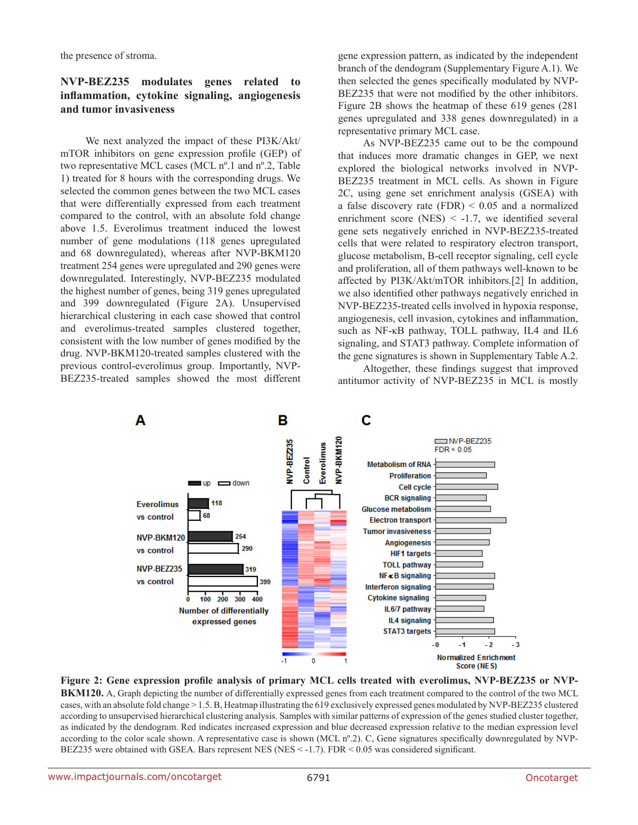the presence of stroma.

#### **NVP-BEZ235 modulates genes related to inflammation, cytokine signaling, angiogenesis and tumor invasiveness**

We next analyzed the impact of these PI3K/Akt/ mTOR inhibitors on gene expression profile (GEP) of two representative MCL cases (MCL nº.1 and nº.2, Table 1) treated for 8 hours with the corresponding drugs. We selected the common genes between the two MCL cases that were differentially expressed from each treatment compared to the control, with an absolute fold change above 1.5. Everolimus treatment induced the lowest number of gene modulations (118 genes upregulated and 68 downregulated), whereas after NVP-BKM120 treatment 254 genes were upregulated and 290 genes were downregulated. Interestingly, NVP-BEZ235 modulated the highest number of genes, being 319 genes upregulated and 399 downregulated (Figure 2A). Unsupervised hierarchical clustering in each case showed that control and everolimus-treated samples clustered together, consistent with the low number of genes modified by the drug. NVP-BKM120-treated samples clustered with the previous control-everolimus group. Importantly, NVP-BEZ235-treated samples showed the most different gene expression pattern, as indicated by the independent branch of the dendogram (Supplementary Figure A.1). We then selected the genes specifically modulated by NVP-BEZ235 that were not modified by the other inhibitors. Figure 2B shows the heatmap of these 619 genes (281 genes upregulated and 338 genes downregulated) in a representative primary MCL case.

As NVP-BEZ235 came out to be the compound that induces more dramatic changes in GEP, we next explored the biological networks involved in NVP-BEZ235 treatment in MCL cells. As shown in Figure 2C, using gene set enrichment analysis (GSEA) with a false discovery rate  $(FDR) < 0.05$  and a normalized enrichment score (NES)  $\le$  -1.7, we identified several gene sets negatively enriched in NVP-BEZ235-treated cells that were related to respiratory electron transport, glucose metabolism, B-cell receptor signaling, cell cycle and proliferation, all of them pathways well-known to be affected by PI3K/Akt/mTOR inhibitors.[2] In addition, we also identified other pathways negatively enriched in NVP-BEZ235-treated cells involved in hypoxia response, angiogenesis, cell invasion, cytokines and inflammation, such as NF-κB pathway, TOLL pathway, IL4 and IL6 signaling, and STAT3 pathway. Complete information of the gene signatures is shown in Supplementary Table A.2.

Altogether, these findings suggest that improved antitumor activity of NVP-BEZ235 in MCL is mostly



**Figure 2: Gene expression profile analysis of primary MCL cells treated with everolimus, NVP-BEZ235 or NVP-BKM120.** A, Graph depicting the number of differentially expressed genes from each treatment compared to the control of the two MCL cases, with an absolute fold change > 1.5. B, Heatmap illustrating the 619 exclusively expressed genes modulated by NVP-BEZ235 clustered according to unsupervised hierarchical clustering analysis. Samples with similar patterns of expression of the genes studied cluster together, as indicated by the dendogram. Red indicates increased expression and blue decreased expression relative to the median expression level according to the color scale shown. A representative case is shown (MCL n°.2). C, Gene signatures specifically downregulated by NVP-BEZ235 were obtained with GSEA. Bars represent NES (NES < -1.7). FDR < 0.05 was considered significant.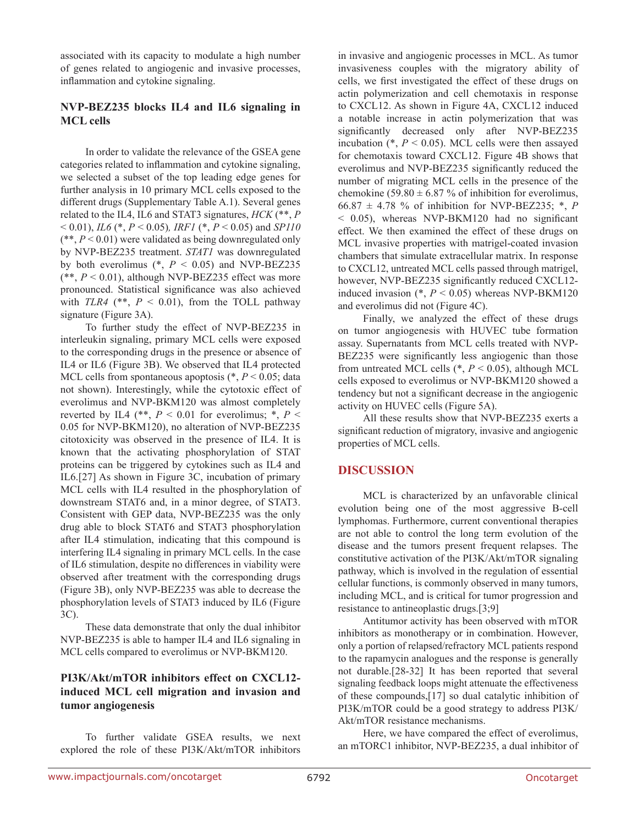associated with its capacity to modulate a high number of genes related to angiogenic and invasive processes, inflammation and cytokine signaling.

#### **NVP-BEZ235 blocks IL4 and IL6 signaling in MCL cells**

In order to validate the relevance of the GSEA gene categories related to inflammation and cytokine signaling, we selected a subset of the top leading edge genes for further analysis in 10 primary MCL cells exposed to the different drugs (Supplementary Table A.1). Several genes related to the IL4, IL6 and STAT3 signatures, *HCK* (\*\*, *P* < 0.01), *IL6* (\*, *P* < 0.05)*, IRF1* (\*, *P* < 0.05) and *SP110*  (\*\*, *P* < 0.01) were validated as being downregulated only by NVP-BEZ235 treatment. *STAT1* was downregulated by both everolimus  $(*, P < 0.05)$  and NVP-BEZ235  $(**, P < 0.01)$ , although NVP-BEZ235 effect was more pronounced. Statistical significance was also achieved with  $TLR4$  (\*\*,  $P < 0.01$ ), from the TOLL pathway signature (Figure 3A).

To further study the effect of NVP-BEZ235 in interleukin signaling, primary MCL cells were exposed to the corresponding drugs in the presence or absence of IL4 or IL6 (Figure 3B). We observed that IL4 protected MCL cells from spontaneous apoptosis (\*, *P* < 0.05; data not shown). Interestingly, while the cytotoxic effect of everolimus and NVP-BKM120 was almost completely reverted by IL4 (\*\*,  $P < 0.01$  for everolimus; \*,  $P <$ 0.05 for NVP-BKM120), no alteration of NVP-BEZ235 citotoxicity was observed in the presence of IL4. It is known that the activating phosphorylation of STAT proteins can be triggered by cytokines such as IL4 and IL6.[27] As shown in Figure 3C, incubation of primary MCL cells with IL4 resulted in the phosphorylation of downstream STAT6 and, in a minor degree, of STAT3. Consistent with GEP data, NVP-BEZ235 was the only drug able to block STAT6 and STAT3 phosphorylation after IL4 stimulation, indicating that this compound is interfering IL4 signaling in primary MCL cells. In the case of IL6 stimulation, despite no differences in viability were observed after treatment with the corresponding drugs (Figure 3B), only NVP-BEZ235 was able to decrease the phosphorylation levels of STAT3 induced by IL6 (Figure 3C).

These data demonstrate that only the dual inhibitor NVP-BEZ235 is able to hamper IL4 and IL6 signaling in MCL cells compared to everolimus or NVP-BKM120.

#### **PI3K/Akt/mTOR inhibitors effect on CXCL12 induced MCL cell migration and invasion and tumor angiogenesis**

To further validate GSEA results, we next explored the role of these PI3K/Akt/mTOR inhibitors in invasive and angiogenic processes in MCL. As tumor invasiveness couples with the migratory ability of cells, we first investigated the effect of these drugs on actin polymerization and cell chemotaxis in response to CXCL12. As shown in Figure 4A, CXCL12 induced a notable increase in actin polymerization that was significantly decreased only after NVP-BEZ235 incubation  $(*, P < 0.05)$ . MCL cells were then assayed for chemotaxis toward CXCL12. Figure 4B shows that everolimus and NVP-BEZ235 significantly reduced the number of migrating MCL cells in the presence of the chemokine (59.80  $\pm$  6.87 % of inhibition for everolimus, 66.87  $\pm$  4.78 % of inhibition for NVP-BEZ235;  $*$ , *P* < 0.05), whereas NVP-BKM120 had no significant effect. We then examined the effect of these drugs on MCL invasive properties with matrigel-coated invasion chambers that simulate extracellular matrix. In response to CXCL12, untreated MCL cells passed through matrigel, however, NVP-BEZ235 significantly reduced CXCL12 induced invasion  $(*, P < 0.05)$  whereas NVP-BKM120 and everolimus did not (Figure 4C).

Finally, we analyzed the effect of these drugs on tumor angiogenesis with HUVEC tube formation assay. Supernatants from MCL cells treated with NVP-BEZ235 were significantly less angiogenic than those from untreated MCL cells  $(*, P < 0.05)$ , although MCL cells exposed to everolimus or NVP-BKM120 showed a tendency but not a significant decrease in the angiogenic activity on HUVEC cells (Figure 5A).

All these results show that NVP-BEZ235 exerts a significant reduction of migratory, invasive and angiogenic properties of MCL cells.

#### **DISCUSSION**

MCL is characterized by an unfavorable clinical evolution being one of the most aggressive B-cell lymphomas. Furthermore, current conventional therapies are not able to control the long term evolution of the disease and the tumors present frequent relapses. The constitutive activation of the PI3K/Akt/mTOR signaling pathway, which is involved in the regulation of essential cellular functions, is commonly observed in many tumors, including MCL, and is critical for tumor progression and resistance to antineoplastic drugs.[3;9]

Antitumor activity has been observed with mTOR inhibitors as monotherapy or in combination. However, only a portion of relapsed/refractory MCL patients respond to the rapamycin analogues and the response is generally not durable.[28-32] It has been reported that several signaling feedback loops might attenuate the effectiveness of these compounds,[17] so dual catalytic inhibition of PI3K/mTOR could be a good strategy to address PI3K/ Akt/mTOR resistance mechanisms.

Here, we have compared the effect of everolimus, an mTORC1 inhibitor, NVP-BEZ235, a dual inhibitor of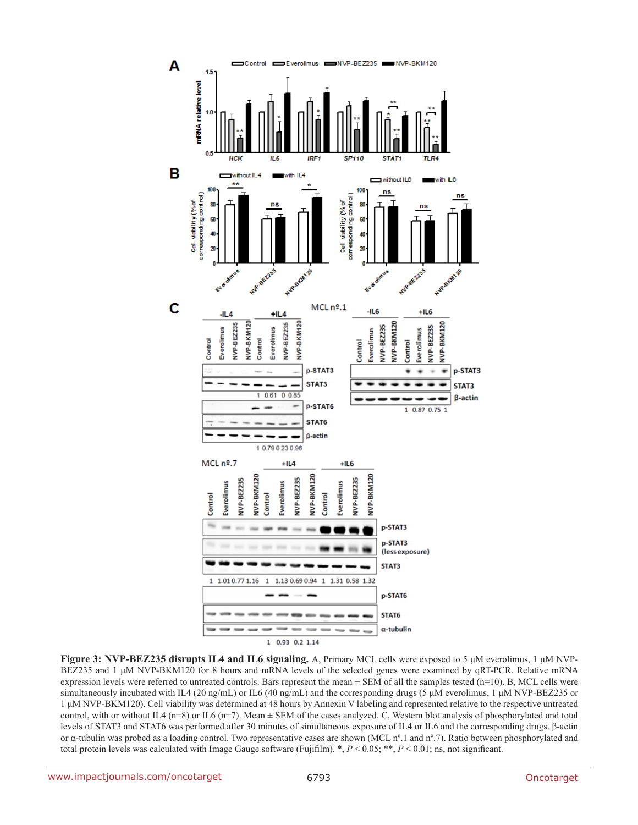

**Figure 3: NVP-BEZ235 disrupts IL4 and IL6 signaling.** A, Primary MCL cells were exposed to 5 μM everolimus, 1 μM NVP-BEZ235 and 1 μM NVP-BKM120 for 8 hours and mRNA levels of the selected genes were examined by qRT-PCR. Relative mRNA expression levels were referred to untreated controls. Bars represent the mean  $\pm$  SEM of all the samples tested (n=10). B, MCL cells were simultaneously incubated with IL4 (20 ng/mL) or IL6 (40 ng/mL) and the corresponding drugs (5 μM everolimus, 1 μM NVP-BEZ235 or 1 μM NVP-BKM120). Cell viability was determined at 48 hours by Annexin V labeling and represented relative to the respective untreated control, with or without IL4 (n=8) or IL6 (n=7). Mean  $\pm$  SEM of the cases analyzed. C, Western blot analysis of phosphorylated and total levels of STAT3 and STAT6 was performed after 30 minutes of simultaneous exposure of IL4 or IL6 and the corresponding drugs. β-actin or α-tubulin was probed as a loading control. Two representative cases are shown (MCL nº.1 and nº.7). Ratio between phosphorylated and total protein levels was calculated with Image Gauge software (Fujifilm). \*, *P* < 0.05; \*\*, *P* < 0.01; ns, not significant.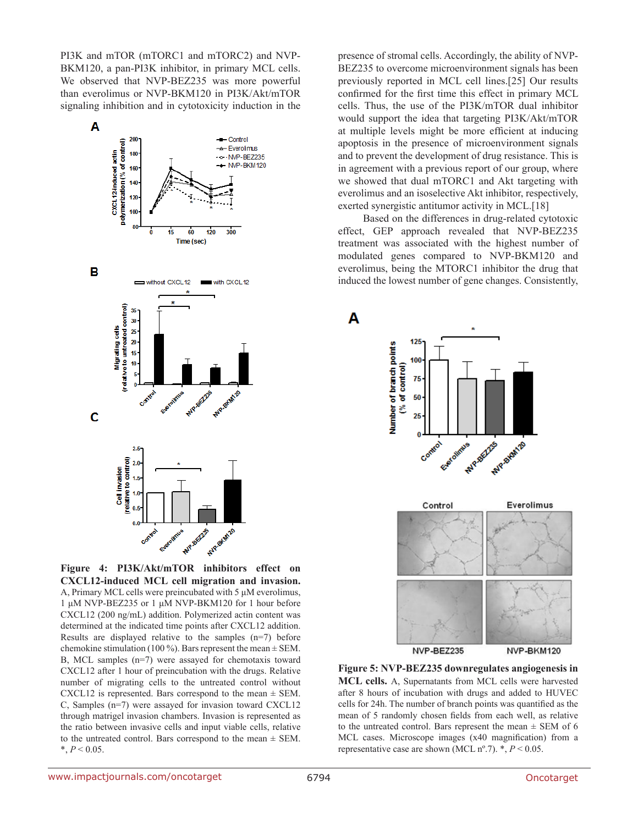PI3K and mTOR (mTORC1 and mTORC2) and NVP-BKM120, a pan-PI3K inhibitor, in primary MCL cells. We observed that NVP-BEZ235 was more powerful than everolimus or NVP-BKM120 in PI3K/Akt/mTOR signaling inhibition and in cytotoxicity induction in the



**Figure 4: PI3K/Akt/mTOR inhibitors effect on CXCL12-induced MCL cell migration and invasion.**  A, Primary MCL cells were preincubated with 5 μM everolimus, 1 μM NVP-BEZ235 or 1 μM NVP-BKM120 for 1 hour before CXCL12 (200 ng/mL) addition. Polymerized actin content was determined at the indicated time points after CXCL12 addition. Results are displayed relative to the samples (n=7) before chemokine stimulation (100 %). Bars represent the mean  $\pm$  SEM. B, MCL samples (n=7) were assayed for chemotaxis toward CXCL12 after 1 hour of preincubation with the drugs. Relative number of migrating cells to the untreated control without CXCL12 is represented. Bars correspond to the mean  $\pm$  SEM. C, Samples (n=7) were assayed for invasion toward CXCL12 through matrigel invasion chambers. Invasion is represented as the ratio between invasive cells and input viable cells, relative to the untreated control. Bars correspond to the mean  $\pm$  SEM.  $*, P < 0.05.$ 

presence of stromal cells. Accordingly, the ability of NVP-BEZ235 to overcome microenvironment signals has been previously reported in MCL cell lines.[25] Our results confirmed for the first time this effect in primary MCL cells. Thus, the use of the PI3K/mTOR dual inhibitor would support the idea that targeting PI3K/Akt/mTOR at multiple levels might be more efficient at inducing apoptosis in the presence of microenvironment signals and to prevent the development of drug resistance. This is in agreement with a previous report of our group, where we showed that dual mTORC1 and Akt targeting with everolimus and an isoselective Akt inhibitor, respectively, exerted synergistic antitumor activity in MCL.[18]

Based on the differences in drug-related cytotoxic effect, GEP approach revealed that NVP-BEZ235 treatment was associated with the highest number of modulated genes compared to NVP-BKM120 and everolimus, being the MTORC1 inhibitor the drug that induced the lowest number of gene changes. Consistently,

A



**Figure 5: NVP-BEZ235 downregulates angiogenesis in MCL cells.** A, Supernatants from MCL cells were harvested after 8 hours of incubation with drugs and added to HUVEC cells for 24h. The number of branch points was quantified as the mean of 5 randomly chosen fields from each well, as relative to the untreated control. Bars represent the mean  $\pm$  SEM of 6 MCL cases. Microscope images (x40 magnification) from a representative case are shown (MCL  $n^{\circ}.7$ ).  $*$ ,  $P < 0.05$ .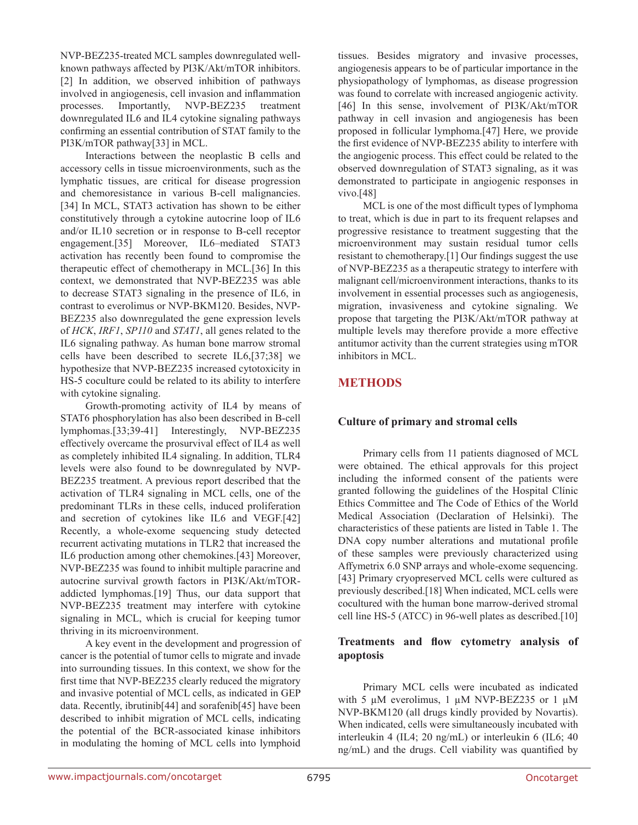NVP-BEZ235-treated MCL samples downregulated wellknown pathways affected by PI3K/Akt/mTOR inhibitors. [2] In addition, we observed inhibition of pathways involved in angiogenesis, cell invasion and inflammation processes. Importantly, NVP-BEZ235 treatment downregulated IL6 and IL4 cytokine signaling pathways confirming an essential contribution of STAT family to the PI3K/mTOR pathway[33] in MCL.

Interactions between the neoplastic B cells and accessory cells in tissue microenvironments, such as the lymphatic tissues, are critical for disease progression and chemoresistance in various B-cell malignancies. [34] In MCL, STAT3 activation has shown to be either constitutively through a cytokine autocrine loop of IL6 and/or IL10 secretion or in response to B-cell receptor engagement.[35] Moreover, IL6–mediated STAT3 activation has recently been found to compromise the therapeutic effect of chemotherapy in MCL.[36] In this context, we demonstrated that NVP-BEZ235 was able to decrease STAT3 signaling in the presence of IL6, in contrast to everolimus or NVP-BKM120. Besides, NVP-BEZ235 also downregulated the gene expression levels of *HCK*, *IRF1*, *SP110* and *STAT1*, all genes related to the IL6 signaling pathway. As human bone marrow stromal cells have been described to secrete IL6,[37;38] we hypothesize that NVP-BEZ235 increased cytotoxicity in HS-5 coculture could be related to its ability to interfere with cytokine signaling.

Growth-promoting activity of IL4 by means of STAT6 phosphorylation has also been described in B-cell lymphomas.[33;39-41] Interestingly, NVP-BEZ235 effectively overcame the prosurvival effect of IL4 as well as completely inhibited IL4 signaling. In addition, TLR4 levels were also found to be downregulated by NVP-BEZ235 treatment. A previous report described that the activation of TLR4 signaling in MCL cells, one of the predominant TLRs in these cells, induced proliferation and secretion of cytokines like IL6 and VEGF.[42] Recently, a whole-exome sequencing study detected recurrent activating mutations in TLR2 that increased the IL6 production among other chemokines.[43] Moreover, NVP-BEZ235 was found to inhibit multiple paracrine and autocrine survival growth factors in PI3K/Akt/mTORaddicted lymphomas.[19] Thus, our data support that NVP-BEZ235 treatment may interfere with cytokine signaling in MCL, which is crucial for keeping tumor thriving in its microenvironment.

A key event in the development and progression of cancer is the potential of tumor cells to migrate and invade into surrounding tissues. In this context, we show for the first time that NVP-BEZ235 clearly reduced the migratory and invasive potential of MCL cells, as indicated in GEP data. Recently, ibrutinib[44] and sorafenib[45] have been described to inhibit migration of MCL cells, indicating the potential of the BCR-associated kinase inhibitors in modulating the homing of MCL cells into lymphoid

tissues. Besides migratory and invasive processes, angiogenesis appears to be of particular importance in the physiopathology of lymphomas, as disease progression was found to correlate with increased angiogenic activity. [46] In this sense, involvement of PI3K/Akt/mTOR pathway in cell invasion and angiogenesis has been proposed in follicular lymphoma.[47] Here, we provide the first evidence of NVP-BEZ235 ability to interfere with the angiogenic process. This effect could be related to the observed downregulation of STAT3 signaling, as it was demonstrated to participate in angiogenic responses in vivo.[48]

MCL is one of the most difficult types of lymphoma to treat, which is due in part to its frequent relapses and progressive resistance to treatment suggesting that the microenvironment may sustain residual tumor cells resistant to chemotherapy.[1] Our findings suggest the use of NVP-BEZ235 as a therapeutic strategy to interfere with malignant cell/microenvironment interactions, thanks to its involvement in essential processes such as angiogenesis, migration, invasiveness and cytokine signaling. We propose that targeting the PI3K/Akt/mTOR pathway at multiple levels may therefore provide a more effective antitumor activity than the current strategies using mTOR inhibitors in MCL.

# **METHODS**

## **Culture of primary and stromal cells**

Primary cells from 11 patients diagnosed of MCL were obtained. The ethical approvals for this project including the informed consent of the patients were granted following the guidelines of the Hospital Clínic Ethics Committee and The Code of Ethics of the World Medical Association (Declaration of Helsinki). The characteristics of these patients are listed in Table 1. The DNA copy number alterations and mutational profile of these samples were previously characterized using Affymetrix 6.0 SNP arrays and whole-exome sequencing. [43] Primary cryopreserved MCL cells were cultured as previously described.[18] When indicated, MCL cells were cocultured with the human bone marrow-derived stromal cell line HS-5 (ATCC) in 96-well plates as described.[10]

## **Treatments and flow cytometry analysis of apoptosis**

Primary MCL cells were incubated as indicated with 5  $\mu$ M everolimus, 1  $\mu$ M NVP-BEZ235 or 1  $\mu$ M NVP-BKM120 (all drugs kindly provided by Novartis). When indicated, cells were simultaneously incubated with interleukin 4 (IL4; 20 ng/mL) or interleukin 6 (IL6; 40 ng/mL) and the drugs. Cell viability was quantified by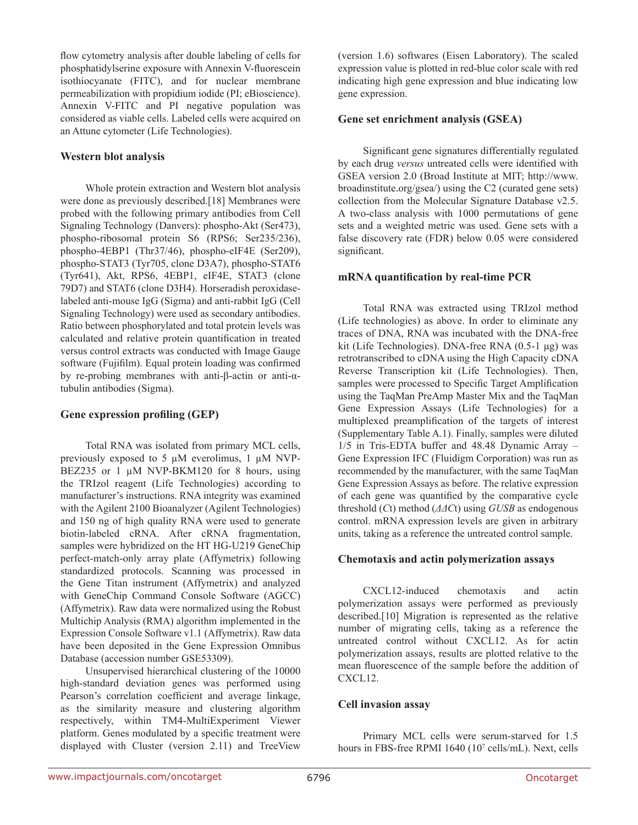flow cytometry analysis after double labeling of cells for phosphatidylserine exposure with Annexin V-fluorescein isothiocyanate (FITC), and for nuclear membrane permeabilization with propidium iodide (PI; eBioscience). Annexin V-FITC and PI negative population was considered as viable cells. Labeled cells were acquired on an Attune cytometer (Life Technologies).

#### **Western blot analysis**

Whole protein extraction and Western blot analysis were done as previously described.[18] Membranes were probed with the following primary antibodies from Cell Signaling Technology (Danvers): phospho-Akt (Ser473), phospho-ribosomal protein S6 (RPS6; Ser235/236), phospho-4EBP1 (Thr37/46), phospho-eIF4E (Ser209), phospho-STAT3 (Tyr705, clone D3A7), phospho-STAT6 (Tyr641), Akt, RPS6, 4EBP1, eIF4E, STAT3 (clone 79D7) and STAT6 (clone D3H4). Horseradish peroxidaselabeled anti-mouse IgG (Sigma) and anti-rabbit IgG (Cell Signaling Technology) were used as secondary antibodies. Ratio between phosphorylated and total protein levels was calculated and relative protein quantification in treated versus control extracts was conducted with Image Gauge software (Fujifilm). Equal protein loading was confirmed by re-probing membranes with anti-β-actin or anti-αtubulin antibodies (Sigma).

#### **Gene expression profiling (GEP)**

Total RNA was isolated from primary MCL cells, previously exposed to 5 µM everolimus, 1 µM NVP-BEZ235 or 1  $\mu$ M NVP-BKM120 for 8 hours, using the TRIzol reagent (Life Technologies) according to manufacturer's instructions. RNA integrity was examined with the Agilent 2100 Bioanalyzer (Agilent Technologies) and 150 ng of high quality RNA were used to generate biotin-labeled cRNA. After cRNA fragmentation, samples were hybridized on the HT HG-U219 GeneChip perfect-match-only array plate (Affymetrix) following standardized protocols. Scanning was processed in the Gene Titan instrument (Affymetrix) and analyzed with GeneChip Command Console Software (AGCC) (Affymetrix). Raw data were normalized using the Robust Multichip Analysis (RMA) algorithm implemented in the Expression Console Software v1.1 (Affymetrix). Raw data have been deposited in the Gene Expression Omnibus Database (accession number GSE53309).

Unsupervised hierarchical clustering of the 10000 high-standard deviation genes was performed using Pearson's correlation coefficient and average linkage, as the similarity measure and clustering algorithm respectively, within TM4-MultiExperiment Viewer platform. Genes modulated by a specific treatment were displayed with Cluster (version 2.11) and TreeView

(version 1.6) softwares (Eisen Laboratory). The scaled expression value is plotted in red-blue color scale with red indicating high gene expression and blue indicating low gene expression.

#### **Gene set enrichment analysis (GSEA)**

Significant gene signatures differentially regulated by each drug *versus* untreated cells were identified with GSEA version 2.0 (Broad Institute at MIT; http://www. broadinstitute.org/gsea/) using the C2 (curated gene sets) collection from the Molecular Signature Database v2.5. A two-class analysis with 1000 permutations of gene sets and a weighted metric was used. Gene sets with a false discovery rate (FDR) below 0.05 were considered significant.

#### **mRNA quantification by real-time PCR**

Total RNA was extracted using TRIzol method (Life technologies) as above. In order to eliminate any traces of DNA, RNA was incubated with the DNA-free kit (Life Technologies). DNA-free RNA (0.5-1 μg) was retrotranscribed to cDNA using the High Capacity cDNA Reverse Transcription kit (Life Technologies). Then, samples were processed to Specific Target Amplification using the TaqMan PreAmp Master Mix and the TaqMan Gene Expression Assays (Life Technologies) for a multiplexed preamplification of the targets of interest (Supplementary Table A.1). Finally, samples were diluted 1/5 in Tris-EDTA buffer and 48.48 Dynamic Array – Gene Expression IFC (Fluidigm Corporation) was run as recommended by the manufacturer, with the same TaqMan Gene Expression Assays as before. The relative expression of each gene was quantified by the comparative cycle threshold (*C*t) method (*ΔΔC*t) using *GUSB* as endogenous control. mRNA expression levels are given in arbitrary units, taking as a reference the untreated control sample.

#### **Chemotaxis and actin polymerization assays**

CXCL12-induced chemotaxis and actin polymerization assays were performed as previously described.[10] Migration is represented as the relative number of migrating cells, taking as a reference the untreated control without CXCL12. As for actin polymerization assays, results are plotted relative to the mean fluorescence of the sample before the addition of CXCL12.

#### **Cell invasion assay**

Primary MCL cells were serum-starved for 1.5 hours in FBS-free RPMI 1640 (10<sup>7</sup> cells/mL). Next, cells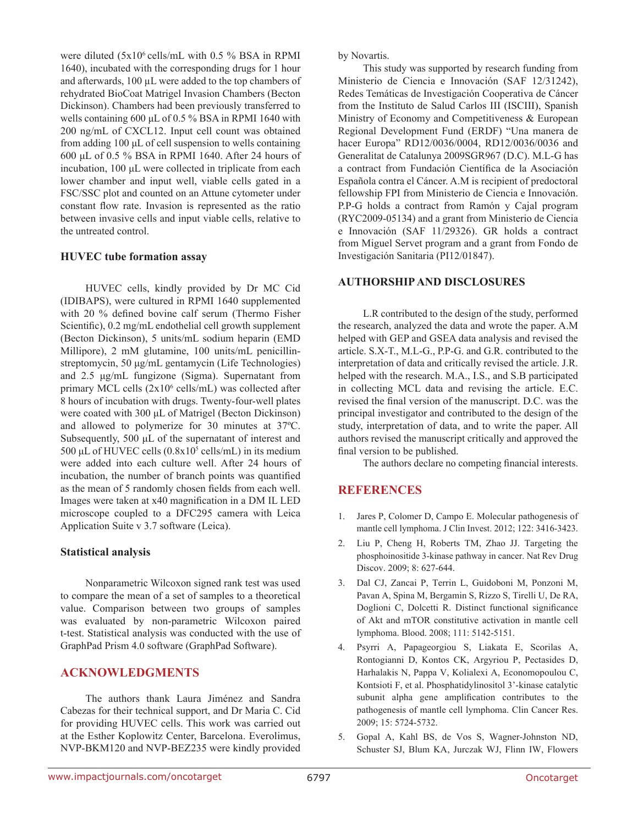were diluted  $(5x10^6 \text{ cells/mL}$  with 0.5 % BSA in RPMI 1640), incubated with the corresponding drugs for 1 hour and afterwards, 100 µL were added to the top chambers of rehydrated BioCoat Matrigel Invasion Chambers (Becton Dickinson). Chambers had been previously transferred to wells containing 600 μL of 0.5 % BSA in RPMI 1640 with 200 ng/mL of CXCL12. Input cell count was obtained from adding 100 μL of cell suspension to wells containing 600 μL of 0.5 % BSA in RPMI 1640. After 24 hours of incubation, 100 μL were collected in triplicate from each lower chamber and input well, viable cells gated in a FSC/SSC plot and counted on an Attune cytometer under constant flow rate. Invasion is represented as the ratio between invasive cells and input viable cells, relative to the untreated control.

#### **HUVEC tube formation assay**

HUVEC cells, kindly provided by Dr MC Cid (IDIBAPS), were cultured in RPMI 1640 supplemented with 20 % defined bovine calf serum (Thermo Fisher Scientific), 0.2 mg/mL endothelial cell growth supplement (Becton Dickinson), 5 units/mL sodium heparin (EMD Millipore), 2 mM glutamine, 100 units/mL penicillinstreptomycin, 50 μg/mL gentamycin (Life Technologies) and 2.5 μg/mL fungizone (Sigma). Supernatant from primary MCL cells (2x10<sup>6</sup> cells/mL) was collected after 8 hours of incubation with drugs. Twenty-four-well plates were coated with 300 μL of Matrigel (Becton Dickinson) and allowed to polymerize for 30 minutes at 37ºC. Subsequently, 500 μL of the supernatant of interest and 500 μL of HUVEC cells  $(0.8x10^5 \text{ cells/mL})$  in its medium were added into each culture well. After 24 hours of incubation, the number of branch points was quantified as the mean of 5 randomly chosen fields from each well. Images were taken at x40 magnification in a DM IL LED microscope coupled to a DFC295 camera with Leica Application Suite v 3.7 software (Leica).

#### **Statistical analysis**

Nonparametric Wilcoxon signed rank test was used to compare the mean of a set of samples to a theoretical value. Comparison between two groups of samples was evaluated by non-parametric Wilcoxon paired t-test. Statistical analysis was conducted with the use of GraphPad Prism 4.0 software (GraphPad Software).

#### **ACKNOWLEDGMENTS**

The authors thank Laura Jiménez and Sandra Cabezas for their technical support, and Dr Maria C. Cid for providing HUVEC cells. This work was carried out at the Esther Koplowitz Center, Barcelona. Everolimus, NVP-BKM120 and NVP-BEZ235 were kindly provided by Novartis.

This study was supported by research funding from Ministerio de Ciencia e Innovación (SAF 12/31242), Redes Temáticas de Investigación Cooperativa de Cáncer from the Instituto de Salud Carlos III (ISCIII), Spanish Ministry of Economy and Competitiveness & European Regional Development Fund (ERDF) "Una manera de hacer Europa" RD12/0036/0004, RD12/0036/0036 and Generalitat de Catalunya 2009SGR967 (D.C). M.L-G has a contract from Fundación Científica de la Asociación Española contra el Cáncer. A.M is recipient of predoctoral fellowship FPI from Ministerio de Ciencia e Innovación. P.P-G holds a contract from Ramón y Cajal program (RYC2009-05134) and a grant from Ministerio de Ciencia e Innovación (SAF 11/29326). GR holds a contract from Miguel Servet program and a grant from Fondo de Investigación Sanitaria (PI12/01847).

#### **AUTHORSHIP AND DISCLOSURES**

L.R contributed to the design of the study, performed the research, analyzed the data and wrote the paper. A.M helped with GEP and GSEA data analysis and revised the article. S.X-T., M.L-G., P.P-G. and G.R. contributed to the interpretation of data and critically revised the article. J.R. helped with the research. M.A., I.S., and S.B participated in collecting MCL data and revising the article. E.C. revised the final version of the manuscript. D.C. was the principal investigator and contributed to the design of the study, interpretation of data, and to write the paper. All authors revised the manuscript critically and approved the final version to be published.

The authors declare no competing financial interests.

## **REFERENCES**

- 1. Jares P, Colomer D, Campo E. Molecular pathogenesis of mantle cell lymphoma. J Clin Invest. 2012; 122: 3416-3423.
- 2. Liu P, Cheng H, Roberts TM, Zhao JJ. Targeting the phosphoinositide 3-kinase pathway in cancer. Nat Rev Drug Discov. 2009; 8: 627-644.
- 3. Dal CJ, Zancai P, Terrin L, Guidoboni M, Ponzoni M, Pavan A, Spina M, Bergamin S, Rizzo S, Tirelli U, De RA, Doglioni C, Dolcetti R. Distinct functional significance of Akt and mTOR constitutive activation in mantle cell lymphoma. Blood. 2008; 111: 5142-5151.
- 4. Psyrri A, Papageorgiou S, Liakata E, Scorilas A, Rontogianni D, Kontos CK, Argyriou P, Pectasides D, Harhalakis N, Pappa V, Kolialexi A, Economopoulou C, Kontsioti F, et al. Phosphatidylinositol 3'-kinase catalytic subunit alpha gene amplification contributes to the pathogenesis of mantle cell lymphoma. Clin Cancer Res. 2009; 15: 5724-5732.
- 5. Gopal A, Kahl BS, de Vos S, Wagner-Johnston ND, Schuster SJ, Blum KA, Jurczak WJ, Flinn IW, Flowers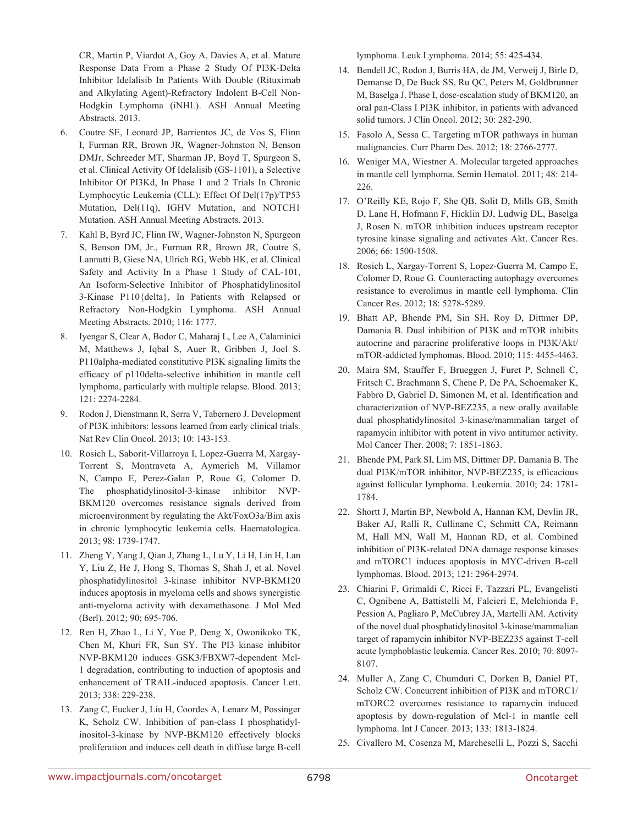CR, Martin P, Viardot A, Goy A, Davies A, et al. Mature Response Data From a Phase 2 Study Of PI3K-Delta Inhibitor Idelalisib In Patients With Double (Rituximab and Alkylating Agent)-Refractory Indolent B-Cell Non-Hodgkin Lymphoma (iNHL). ASH Annual Meeting Abstracts. 2013.

- 6. Coutre SE, Leonard JP, Barrientos JC, de Vos S, Flinn I, Furman RR, Brown JR, Wagner-Johnston N, Benson DMJr, Schreeder MT, Sharman JP, Boyd T, Spurgeon S, et al. Clinical Activity Of Idelalisib (GS-1101), a Selective Inhibitor Of PI3Kd, In Phase 1 and 2 Trials In Chronic Lymphocytic Leukemia (CLL): Effect Of Del(17p)/TP53 Mutation, Del(11q), IGHV Mutation, and NOTCH1 Mutation. ASH Annual Meeting Abstracts. 2013.
- 7. Kahl B, Byrd JC, Flinn IW, Wagner-Johnston N, Spurgeon S, Benson DM, Jr., Furman RR, Brown JR, Coutre S, Lannutti B, Giese NA, Ulrich RG, Webb HK, et al. Clinical Safety and Activity In a Phase 1 Study of CAL-101, An Isoform-Selective Inhibitor of Phosphatidylinositol 3-Kinase P110{delta}, In Patients with Relapsed or Refractory Non-Hodgkin Lymphoma. ASH Annual Meeting Abstracts. 2010; 116: 1777.
- 8. Iyengar S, Clear A, Bodor C, Maharaj L, Lee A, Calaminici M, Matthews J, Iqbal S, Auer R, Gribben J, Joel S. P110alpha-mediated constitutive PI3K signaling limits the efficacy of p110delta-selective inhibition in mantle cell lymphoma, particularly with multiple relapse. Blood. 2013; 121: 2274-2284.
- 9. Rodon J, Dienstmann R, Serra V, Tabernero J. Development of PI3K inhibitors: lessons learned from early clinical trials. Nat Rev Clin Oncol. 2013; 10: 143-153.
- 10. Rosich L, Saborit-Villarroya I, Lopez-Guerra M, Xargay-Torrent S, Montraveta A, Aymerich M, Villamor N, Campo E, Perez-Galan P, Roue G, Colomer D. The phosphatidylinositol-3-kinase inhibitor NVP-BKM120 overcomes resistance signals derived from microenvironment by regulating the Akt/FoxO3a/Bim axis in chronic lymphocytic leukemia cells. Haematologica. 2013; 98: 1739-1747.
- 11. Zheng Y, Yang J, Qian J, Zhang L, Lu Y, Li H, Lin H, Lan Y, Liu Z, He J, Hong S, Thomas S, Shah J, et al. Novel phosphatidylinositol 3-kinase inhibitor NVP-BKM120 induces apoptosis in myeloma cells and shows synergistic anti-myeloma activity with dexamethasone. J Mol Med (Berl). 2012; 90: 695-706.
- 12. Ren H, Zhao L, Li Y, Yue P, Deng X, Owonikoko TK, Chen M, Khuri FR, Sun SY. The PI3 kinase inhibitor NVP-BKM120 induces GSK3/FBXW7-dependent Mcl-1 degradation, contributing to induction of apoptosis and enhancement of TRAIL-induced apoptosis. Cancer Lett. 2013; 338: 229-238.
- 13. Zang C, Eucker J, Liu H, Coordes A, Lenarz M, Possinger K, Scholz CW. Inhibition of pan-class I phosphatidylinositol-3-kinase by NVP-BKM120 effectively blocks proliferation and induces cell death in diffuse large B-cell

lymphoma. Leuk Lymphoma. 2014; 55: 425-434.

- 14. Bendell JC, Rodon J, Burris HA, de JM, Verweij J, Birle D, Demanse D, De Buck SS, Ru QC, Peters M, Goldbrunner M, Baselga J. Phase I, dose-escalation study of BKM120, an oral pan-Class I PI3K inhibitor, in patients with advanced solid tumors. J Clin Oncol. 2012; 30: 282-290.
- 15. Fasolo A, Sessa C. Targeting mTOR pathways in human malignancies. Curr Pharm Des. 2012; 18: 2766-2777.
- 16. Weniger MA, Wiestner A. Molecular targeted approaches in mantle cell lymphoma. Semin Hematol. 2011; 48: 214- 226.
- 17. O'Reilly KE, Rojo F, She QB, Solit D, Mills GB, Smith D, Lane H, Hofmann F, Hicklin DJ, Ludwig DL, Baselga J, Rosen N. mTOR inhibition induces upstream receptor tyrosine kinase signaling and activates Akt. Cancer Res. 2006; 66: 1500-1508.
- 18. Rosich L, Xargay-Torrent S, Lopez-Guerra M, Campo E, Colomer D, Roue G. Counteracting autophagy overcomes resistance to everolimus in mantle cell lymphoma. Clin Cancer Res. 2012; 18: 5278-5289.
- 19. Bhatt AP, Bhende PM, Sin SH, Roy D, Dittmer DP, Damania B. Dual inhibition of PI3K and mTOR inhibits autocrine and paracrine proliferative loops in PI3K/Akt/ mTOR-addicted lymphomas. Blood. 2010; 115: 4455-4463.
- 20. Maira SM, Stauffer F, Brueggen J, Furet P, Schnell C, Fritsch C, Brachmann S, Chene P, De PA, Schoemaker K, Fabbro D, Gabriel D, Simonen M, et al. Identification and characterization of NVP-BEZ235, a new orally available dual phosphatidylinositol 3-kinase/mammalian target of rapamycin inhibitor with potent in vivo antitumor activity. Mol Cancer Ther. 2008; 7: 1851-1863.
- 21. Bhende PM, Park SI, Lim MS, Dittmer DP, Damania B. The dual PI3K/mTOR inhibitor, NVP-BEZ235, is efficacious against follicular lymphoma. Leukemia. 2010; 24: 1781- 1784.
- 22. Shortt J, Martin BP, Newbold A, Hannan KM, Devlin JR, Baker AJ, Ralli R, Cullinane C, Schmitt CA, Reimann M, Hall MN, Wall M, Hannan RD, et al. Combined inhibition of PI3K-related DNA damage response kinases and mTORC1 induces apoptosis in MYC-driven B-cell lymphomas. Blood. 2013; 121: 2964-2974.
- 23. Chiarini F, Grimaldi C, Ricci F, Tazzari PL, Evangelisti C, Ognibene A, Battistelli M, Falcieri E, Melchionda F, Pession A, Pagliaro P, McCubrey JA, Martelli AM. Activity of the novel dual phosphatidylinositol 3-kinase/mammalian target of rapamycin inhibitor NVP-BEZ235 against T-cell acute lymphoblastic leukemia. Cancer Res. 2010; 70: 8097- 8107.
- 24. Muller A, Zang C, Chumduri C, Dorken B, Daniel PT, Scholz CW. Concurrent inhibition of PI3K and mTORC1/ mTORC2 overcomes resistance to rapamycin induced apoptosis by down-regulation of Mcl-1 in mantle cell lymphoma. Int J Cancer. 2013; 133: 1813-1824.
- 25. Civallero M, Cosenza M, Marcheselli L, Pozzi S, Sacchi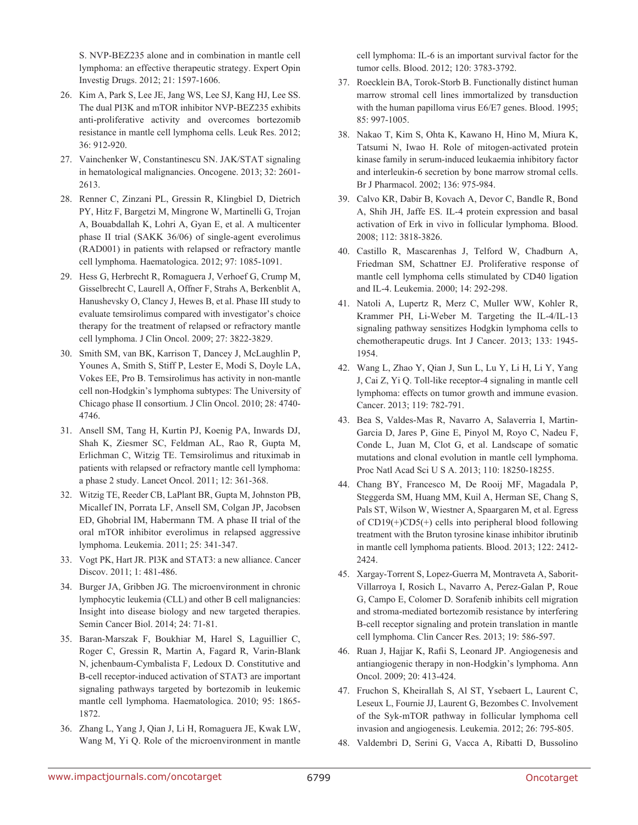S. NVP-BEZ235 alone and in combination in mantle cell lymphoma: an effective therapeutic strategy. Expert Opin Investig Drugs. 2012; 21: 1597-1606.

- 26. Kim A, Park S, Lee JE, Jang WS, Lee SJ, Kang HJ, Lee SS. The dual PI3K and mTOR inhibitor NVP-BEZ235 exhibits anti-proliferative activity and overcomes bortezomib resistance in mantle cell lymphoma cells. Leuk Res. 2012; 36: 912-920.
- 27. Vainchenker W, Constantinescu SN. JAK/STAT signaling in hematological malignancies. Oncogene. 2013; 32: 2601- 2613.
- 28. Renner C, Zinzani PL, Gressin R, Klingbiel D, Dietrich PY, Hitz F, Bargetzi M, Mingrone W, Martinelli G, Trojan A, Bouabdallah K, Lohri A, Gyan E, et al. A multicenter phase II trial (SAKK 36/06) of single-agent everolimus (RAD001) in patients with relapsed or refractory mantle cell lymphoma. Haematologica. 2012; 97: 1085-1091.
- 29. Hess G, Herbrecht R, Romaguera J, Verhoef G, Crump M, Gisselbrecht C, Laurell A, Offner F, Strahs A, Berkenblit A, Hanushevsky O, Clancy J, Hewes B, et al. Phase III study to evaluate temsirolimus compared with investigator's choice therapy for the treatment of relapsed or refractory mantle cell lymphoma. J Clin Oncol. 2009; 27: 3822-3829.
- 30. Smith SM, van BK, Karrison T, Dancey J, McLaughlin P, Younes A, Smith S, Stiff P, Lester E, Modi S, Doyle LA, Vokes EE, Pro B. Temsirolimus has activity in non-mantle cell non-Hodgkin's lymphoma subtypes: The University of Chicago phase II consortium. J Clin Oncol. 2010; 28: 4740- 4746.
- 31. Ansell SM, Tang H, Kurtin PJ, Koenig PA, Inwards DJ, Shah K, Ziesmer SC, Feldman AL, Rao R, Gupta M, Erlichman C, Witzig TE. Temsirolimus and rituximab in patients with relapsed or refractory mantle cell lymphoma: a phase 2 study. Lancet Oncol. 2011; 12: 361-368.
- 32. Witzig TE, Reeder CB, LaPlant BR, Gupta M, Johnston PB, Micallef IN, Porrata LF, Ansell SM, Colgan JP, Jacobsen ED, Ghobrial IM, Habermann TM. A phase II trial of the oral mTOR inhibitor everolimus in relapsed aggressive lymphoma. Leukemia. 2011; 25: 341-347.
- 33. Vogt PK, Hart JR. PI3K and STAT3: a new alliance. Cancer Discov. 2011; 1: 481-486.
- 34. Burger JA, Gribben JG. The microenvironment in chronic lymphocytic leukemia (CLL) and other B cell malignancies: Insight into disease biology and new targeted therapies. Semin Cancer Biol. 2014; 24: 71-81.
- 35. Baran-Marszak F, Boukhiar M, Harel S, Laguillier C, Roger C, Gressin R, Martin A, Fagard R, Varin-Blank N, jchenbaum-Cymbalista F, Ledoux D. Constitutive and B-cell receptor-induced activation of STAT3 are important signaling pathways targeted by bortezomib in leukemic mantle cell lymphoma. Haematologica. 2010; 95: 1865- 1872.
- 36. Zhang L, Yang J, Qian J, Li H, Romaguera JE, Kwak LW, Wang M, Yi Q. Role of the microenvironment in mantle

cell lymphoma: IL-6 is an important survival factor for the tumor cells. Blood. 2012; 120: 3783-3792.

- 37. Roecklein BA, Torok-Storb B. Functionally distinct human marrow stromal cell lines immortalized by transduction with the human papilloma virus E6/E7 genes. Blood. 1995; 85: 997-1005.
- 38. Nakao T, Kim S, Ohta K, Kawano H, Hino M, Miura K, Tatsumi N, Iwao H. Role of mitogen-activated protein kinase family in serum-induced leukaemia inhibitory factor and interleukin-6 secretion by bone marrow stromal cells. Br J Pharmacol. 2002; 136: 975-984.
- 39. Calvo KR, Dabir B, Kovach A, Devor C, Bandle R, Bond A, Shih JH, Jaffe ES. IL-4 protein expression and basal activation of Erk in vivo in follicular lymphoma. Blood. 2008; 112: 3818-3826.
- 40. Castillo R, Mascarenhas J, Telford W, Chadburn A, Friedman SM, Schattner EJ. Proliferative response of mantle cell lymphoma cells stimulated by CD40 ligation and IL-4. Leukemia. 2000; 14: 292-298.
- 41. Natoli A, Lupertz R, Merz C, Muller WW, Kohler R, Krammer PH, Li-Weber M. Targeting the IL-4/IL-13 signaling pathway sensitizes Hodgkin lymphoma cells to chemotherapeutic drugs. Int J Cancer. 2013; 133: 1945- 1954.
- 42. Wang L, Zhao Y, Qian J, Sun L, Lu Y, Li H, Li Y, Yang J, Cai Z, Yi Q. Toll-like receptor-4 signaling in mantle cell lymphoma: effects on tumor growth and immune evasion. Cancer. 2013; 119: 782-791.
- 43. Bea S, Valdes-Mas R, Navarro A, Salaverria I, Martin-Garcia D, Jares P, Gine E, Pinyol M, Royo C, Nadeu F, Conde L, Juan M, Clot G, et al. Landscape of somatic mutations and clonal evolution in mantle cell lymphoma. Proc Natl Acad Sci U S A. 2013; 110: 18250-18255.
- 44. Chang BY, Francesco M, De Rooij MF, Magadala P, Steggerda SM, Huang MM, Kuil A, Herman SE, Chang S, Pals ST, Wilson W, Wiestner A, Spaargaren M, et al. Egress of CD19(+)CD5(+) cells into peripheral blood following treatment with the Bruton tyrosine kinase inhibitor ibrutinib in mantle cell lymphoma patients. Blood. 2013; 122: 2412- 2424.
- 45. Xargay-Torrent S, Lopez-Guerra M, Montraveta A, Saborit-Villarroya I, Rosich L, Navarro A, Perez-Galan P, Roue G, Campo E, Colomer D. Sorafenib inhibits cell migration and stroma-mediated bortezomib resistance by interfering B-cell receptor signaling and protein translation in mantle cell lymphoma. Clin Cancer Res. 2013; 19: 586-597.
- 46. Ruan J, Hajjar K, Rafii S, Leonard JP. Angiogenesis and antiangiogenic therapy in non-Hodgkin's lymphoma. Ann Oncol. 2009; 20: 413-424.
- 47. Fruchon S, Kheirallah S, Al ST, Ysebaert L, Laurent C, Leseux L, Fournie JJ, Laurent G, Bezombes C. Involvement of the Syk-mTOR pathway in follicular lymphoma cell invasion and angiogenesis. Leukemia. 2012; 26: 795-805.
- 48. Valdembri D, Serini G, Vacca A, Ribatti D, Bussolino